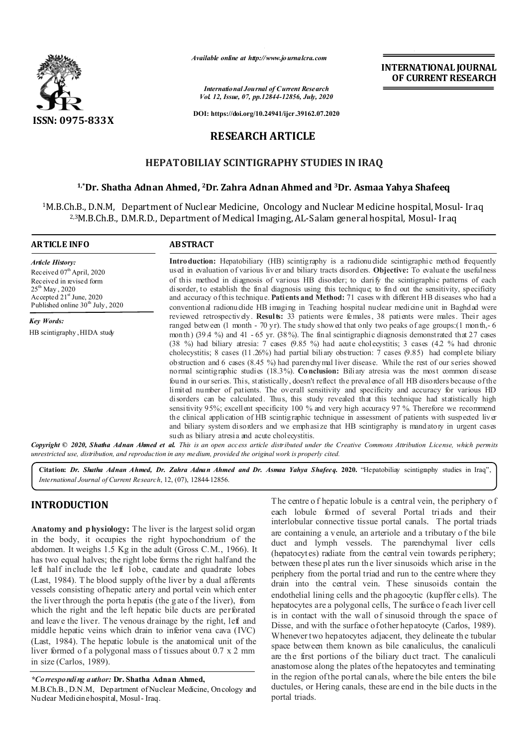

*Available online at http://www.journalcra.com*

*International Journal of Current Research Vol. 12, Issue, 07, pp.12844-12856, July, 2020* **INTERNATIONAL JOURNAL OF CURRENT RESEARCH**

**DOI: https://doi.org/10.24941/ijcr.39162.07.2020**

## **RESEARCH ARTICLE**

## **HEPATOBILIAY SCINTIGRAPHY STUDIES IN IRAQ**

### **1,\*Dr. Shatha Adnan Ahmed, 2Dr. Zahra Adnan Ahmed and 3Dr. Asmaa Yahya Shafeeq**

1M.B.Ch.B., D.N.M, Department of Nuclear Medicine, Oncology and Nuclear Medicine hospital, Mosul- Iraq 2,3M.B.Ch.B., D.M.R.D., Department of Medical Imaging, AL-Salam general hospital, Mosul- Iraq

| <b>ARTICLE INFO</b>                                                                                                                                                                            | <b>ABSTRACT</b>                                                                                                                                                                                                                                                                                                                                                                                                                                                                                                                                                                                                                                                                                                                                                                                                                                                                                                                                                                                                                                                                                                                                                                                                                                                                                                                |  |  |
|------------------------------------------------------------------------------------------------------------------------------------------------------------------------------------------------|--------------------------------------------------------------------------------------------------------------------------------------------------------------------------------------------------------------------------------------------------------------------------------------------------------------------------------------------------------------------------------------------------------------------------------------------------------------------------------------------------------------------------------------------------------------------------------------------------------------------------------------------------------------------------------------------------------------------------------------------------------------------------------------------------------------------------------------------------------------------------------------------------------------------------------------------------------------------------------------------------------------------------------------------------------------------------------------------------------------------------------------------------------------------------------------------------------------------------------------------------------------------------------------------------------------------------------|--|--|
| <b>Article History:</b><br>Received $07th$ April, 2020<br>Received in revised form<br>$25^{\text{th}}$ May, 2020<br>Accepted $21st$ June, 2020<br>Published online 30 <sup>th</sup> July, 2020 | Introduction: Hepatobiliary (HB) scintigraphy is a radionuclide scintigraphic method frequently<br>used in evaluation of various liver and biliary tracts disorders. Objective: To evaluate the usefulness<br>of this method in diagnosis of various HB disorder; to clarify the scintigraphic patterns of each<br>disorder, to establish the final diagnosis using this technique; to find out the sensitivity, specificity<br>and accuracy of this technique. <b>Patients and Method:</b> 71 cases with different HB diseases who had a<br>conventional radionuclide HB imaging in Teaching hospital nuclear medicine unit in Baghdad were                                                                                                                                                                                                                                                                                                                                                                                                                                                                                                                                                                                                                                                                                   |  |  |
| <b>Key Words:</b>                                                                                                                                                                              | reviewed retrospectively. Results: 33 patients were females, 38 patients were males. Their ages                                                                                                                                                                                                                                                                                                                                                                                                                                                                                                                                                                                                                                                                                                                                                                                                                                                                                                                                                                                                                                                                                                                                                                                                                                |  |  |
| HB scintigraphy, HIDA study                                                                                                                                                                    | ranged between (1 month - 70 yr). The study showed that only two peaks of age groups: (1 month, - 6<br>month) (39.4 %) and 41 - 65 yr. (38%). The final scintigraphic diagnosis demonstrated that 27 cases<br>(38 %) had biliary atresia: 7 cases (9.85 %) had acute cholecystitis; 3 cases (4.2 % had chronic<br>cholecystitis; 8 cases $(11.26\%)$ had partial biliary obstruction: 7 cases $(9.85)$ had complete biliary<br>obstruction and 6 cases (8.45 %) had parenchymal liver disease. While the rest of our series showed<br>normal scintigraphic studies (18.3%). Conclusion: Biliary atresia was the most common disease<br>found in our series. This, statistically, doesn't reflect the prevalence of all HB disorders because of the<br>limited number of patients. The overall sensitivity and specificity and accuracy for various HD<br>disorders can be calculated. Thus, this study revealed that this technique had statistically high<br>sensitivity 95%; excellent specificity 100 % and very high accuracy 97 %. Therefore we recommend<br>the clinical application of HB scintigraphic technique in assessment of patients with suspected liver<br>and biliary system disorders and we emphasize that HB scintigraphy is mandatory in urgent cases<br>such as biliary atresia and acute cholecystitis. |  |  |

Copyright © 2020, Shatha Adnan Ahmed et al. This is an open access article distributed under the Creative Commons Attribution License, which permits *unrestricted use, distribution, and reproduction in any medium, provided the original work is properly cited.*

**Citation:** *Dr. Shatha Adnan Ahmed, Dr. Zahra Adnan Ahmed and Dr. Asmaa Yahya Shafeeq.* **2020.** "Hepatobiliay scintigraphy studies in Iraq", *International Journal of Current Research*, 12, (07), 12844-12856.

## **INTRODUCTION**

**Anatomy and physiology:** The liver is the largest solid organ in the body, it occupies the right hypochondrium of the abdomen. It weighs 1.5 Kg in the adult (Gross C.M., 1966). It has two equal halves; the right lobe forms the right half and the left half include the left 1obe, caudate and quadrate lobes (Last, 1984). T he blood supply of the liver by a dual afferents vessels consisting of hepatic artery and portal vein which enter the liver through the porta h epatis (the g ate o f the liver), from which the right and the left hepatic bile ducts are perforated and leave the liver. The venous drainage by the right, left and middle hepatic veins which drain to inferior vena cava (IVC) (Last, 1984). The hepatic lobule is the anatomical unit of the liver formed o f a polygonal mass o f tissues about 0.7 x 2 mm in size (Carlos, 1989).

*\*Corresponding author:* **Dr. Shatha Adnan Ahmed,**

M.B.Ch.B., D.N.M, Department of Nuclear Medicine, Oncology and Nuclear Medicine hospital, Mosul- Iraq.

The centre of hepatic lobule is a central vein, the periphery of each lobule formed of several Portal triads and their interlobular connective tissue portal canals. The portal triads are containing a venule, an arteriole and a tributary o f the bile duct and lymph vessels. The parenchymal liver cells (hepatocytes) radiate from the central vein towards periphery; between these pl ates run th e liver sinusoids which arise in the periphery from the portal triad and run to the centre where they drain into the central vein. These sinusoids contain the endothelial lining cells and the ph agocytic (kupffer cells). The hepatocytes are a polygonal cells, The surface o feach liver cell is in contact with the wall of sinusoid through the space of Disse, and with the surface of other hepatocyte (Carlos, 1989). Whenever two hepatocytes adjacent, they delineate the tubular space between them known as bile canaliculus, the canaliculi are the first portions of the biliary duct tract. The canaliculi anastomose along the plates of the hepatocytes and terminating in the region of the portal canals, where the bile enters the bile ductules, or Hering canals, these are end in the bile ducts in the portal triads.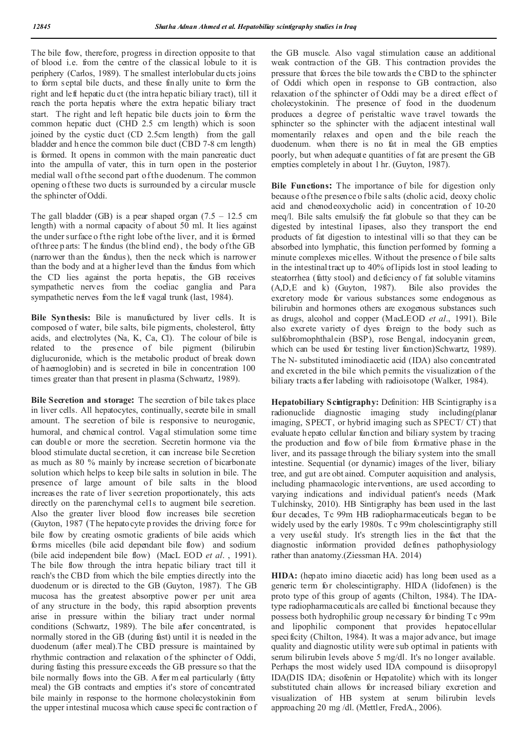The bile flow, therefore, progress in direction opposite to that of blood i.e. from the centre of the classical lobule to it is periphery (Carlos, 1989). T he smallest interlobular du cts joins to form septal bile ducts, and these finally unite to form the right and left hepatic du ct (the intra hepatic biliary tract), till it reach the porta hepatis where the extra hepatic biliary tract start. The right and left hepatic bile ducts join to form the common hepatic duct (CHD 2.5 cm length) which is soon joined by the cystic duct (CD 2.5cm length) from the gall bladder and hence the common bile duct (CBD 7-8 cm length) is formed. It opens in common with the main pancreatic duct into the ampulla of vater, this in turn open in the posterior medial wall of the second part of the duodenum. The common opening o f these two ducts is surrounded by a circular muscle the sphincter of Oddi.

The gall bladder (GB) is a pear shaped organ  $(7.5 - 12.5 \text{ cm})$ length) with a normal capacity of about 50 ml. It lies against the under surface o f the right lobe of the liver, and it is formed of three p arts: T he fundus (the blind end) , the body of the GB (narrower than the fundus), then the neck which is narrower than the body and at a higher level than the fundus from which the CD lies against the porta hepatis, the GB receives sympathetic nerves from the coeliac ganglia and Para sympathetic nerves from the left vagal trunk (last, 1984).

**Bile Synthesis:** Bile is manufactured by liver cells. It is composed o f water, bile salts, bile pigments, cholesterol, fatty acids, and electrolytes (Na, K, Ca, Cl). The colour of bile is related to the presence of bile pigment (bilirubin diglucuronide, which is the metabolic product of break down of haemoglobin) and is secreted in bile in concentration 100 times greater than that present in plasma (Schwartz, 1989).

**Bile Secretion and storage:** The secretion of bile takes place in liver cells. All hepatocytes, continually, secrete bile in small amount. The secretion of bile is responsive to neurogenic, humoral, and chemical control. Vagal stimulation some time can double or more the secretion. Secretin hormone via the blood stimulate ductal secretion, it can increase bile Secretion as much as 80 % mainly by increase secretion of bicarbonate solution which helps to keep bile salts in solution in bile. The presence of large amount of bile salts in the blood increases the rate of liver secretion proportionately, this acts directly on the parenchymal cel1s to augment bile secretion. Also the greater liver blood flow increases bile secretion (Guyton, 1987 (The hepatocyte p rovides the driving force for bile flow by creating osmotic gradients of bile acids which forms micelles (bile acid dependant bile flow) and sodium (bile acid independent bile flow) (MacL EOD *et al*. , 1991). The bile flow through the intra hepatic biliary tract till it reach's the CBD from which the bile empties directly into the duodenum or is directed to the GB (Guyton, 1987). The GB mucosa has the greatest absorptive power per unit area of any structure in the body, this rapid absorption prevents arise in pressure within the biliary tract under normal conditions (Schwartz, 1989). The bile after concentrated, is normally stored in the GB (during fast) until it is needed in the duodenum (after meal).T he CBD pressure is maintained by rhythmic contraction and relaxation of the sphincter of Oddi, during fasting this pressure exceeds the GB pressure so that the bile normally flows into the GB. A fter m eal particularly (fatty meal) the GB contracts and empties it's store of concentrated bile mainly in response to the hormone cholecystokinin from the upper intestinal mucosa which cause specific contraction of the GB muscle. Also vagal stimulation cause an additional weak contraction of the GB. This contraction provides the pressure that forces the bile towards the CBD to the sphincter of Oddi which open in response to GB contraction, also relaxation of the sphincter of Oddi may be a direct effect of cholecystokinin. The presence of food in the duodenum produces a degree of peristaltic wave travel towards the sphincter so the sphincter with the adjacent intestinal wall momentarily relaxes and open and the bile reach the duodenum. when there is no fat in meal the GB empties poorly, but when adequate quantities of fat are present the GB empties completely in about 1 hr. (Guyton, 1987).

**Bile Functions:** The importance of bile for digestion only because of the presence of bile salts (cholic acid, deoxy cholic acid and chenodeoxycholic acid) in concentration of 10-20 meq/l. Bile salts emulsify the fat globule so that they can be digested by intestinal 1ipases, also they transport the end products of fat digestion to intestinal villi so that they can be absorbed into lymphatic, this function performed by forming a minute complexes micelles. Without the presence o f bile salts in the intestinal tract up to 40% of lipids lost in stool leading to steatorrhea (fatty stool) and deficiency of fat soluble vitamins (A,D,E and k) (Guyton, 1987). Bile also provides the excretory mode for various substances some endogenous as bilirubin and hormones others are exogenous substances such as drugs, alcohol and copper (MacLEOD *et al*., 1991). Bile also excrete variety of dyes foreign to the body such as sulfobromophthalein (BSP), rose Bengal, indocyanin green, which can be used for testing liver function)Schwartz, 1989). The N- substituted iminodiacetic acid (IDA) also concentrated and excreted in the bile which permits the visualization of the biliary tracts after labeling with radioisotope (Walker, 1984).

**Hepatobiliary Scintigraphy:** Definition: HB Scintigraphy is a radionuclide diagnostic imaging study including(planar imaging, SPECT, or hybrid imaging such as SPECT/ CT) that evaluate hepato cellular function and biliary system by tracing the production and flow of bile from formative phase in the liver, and its passage through the biliary system into the small intestine. Sequential (or dynamic) images of the liver, biliary tree, and gut are obt ained. Computer acquisition and analysis, including pharmacologic interventions, are used according to varying indications and individual patient's needs (Mark Tulchinsky, 2010). HB Sintigraphy has been used in the last four decades, Tc 99m HB radiopharmaceuticals began to be widely used by the early 1980s. Tc 99m cholescintigraphy still a very useful study. It's strength lies in the fact that the diagnostic information provided defines pathophysiology rather than anatomy.(Ziessman HA. 2014)

**HIDA:** (hepato imino diacetic acid) has long been used as a generic term for cholescintigraphy. HIDA (lidofenen) is the proto type of this group of agents (Chilton, 1984). The IDAtype radiopharmaceuticals are called bi functional because they possess both hydrophilic group necessary for binding T c 99m and lipophilic component that provides hepatocellular specificity (Chilton, 1984). It was a major advance, but image quality and diagnostic utility were sub optimal in patients with serum bilirubin levels above 5 mg/dl. It's no longer available. Perhaps the most widely used IDA compound is diisopropyl IDA(DIS IDA; disofenin or Hepatolite) which with its longer substituted chain allows for increased biliary excretion and visualization of HB system at serum bilirubin levels approaching 20 mg /dl. (Mettler, FredA., 2006).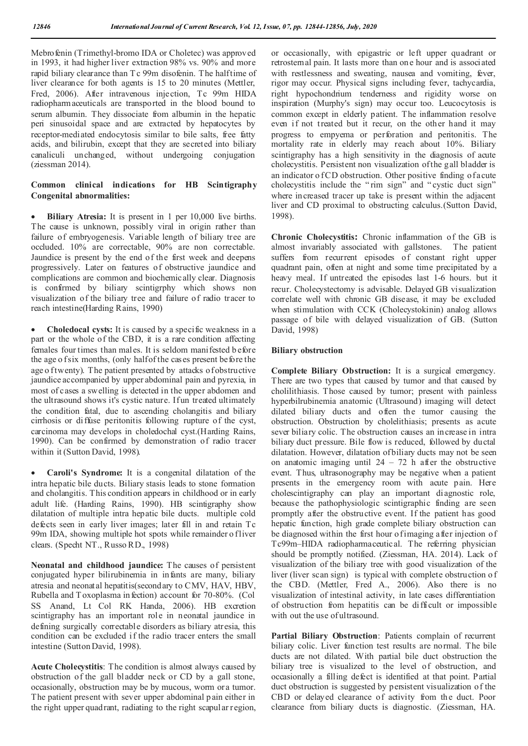Mebrofenin (Trimethyl-bromo IDA or Choletec) was approved in 1993, it had higher liver extraction 98% vs. 90% and more rapid biliary clearance than T c 99m disofenin. The half time of liver clearance for both agents is 15 to 20 minutes (Mettler, Fred, 2006). After intravenous injection, Tc 99m HIDA radiopharmaceuticals are transported in the blood bound to serum albumin. They dissociate from albumin in the hepatic peri sinusoidal space and are extracted by hepatocytes by receptor-mediated endocytosis similar to bile salts, free fatty acids, and bilirubin, except that they are secreted into biliary canaliculi unchanged, without undergoing conjugation (ziessman 2014).

#### **Common clinical indications for HB Scintigraphy Congenital abnormalities:**

 **Biliary Atresia:** It is present in 1 per 10,000 live births. The cause is unknown, possibly viral in origin rather than failure of embryogenesis. Variable length of biliary tree are occluded. 10% are correctable, 90% are non correctable. Jaundice is present by the end of the first week and deepens progressively. Later on features of obstructive jaundice and complications are common and biochemically clear. Diagnosis is confirmed by biliary scintigrphy which shows non visualization of the biliary tree and failure of radio tracer to reach intestine(Harding Rains, 1990)

 **Choledocal cysts:** It is caused by a specific weakness in a part or the whole of the CBD, it is a rare condition affecting females four times than males. It is seldom manifested b efore the age o f six months, (only half of the cases present before the age o f twenty). The patient presented by attacks of obstructive jaundice accompanied by upper abdominal pain and pyrexia, in most of cases a swelling is detected in the upper abdomen and the ultrasound shows it's cystic nature. If un treated ultimately the condition fatal, due to ascending cholangitis and biliary cirrhosis or diffuse peritonitis following rupture of the cyst, carcinoma may develops in choledochal cyst.(Harding Rains, 1990). Can be confirmed by demonstration of radio tracer within it (Sutton David, 1998).

 **Caroli's Syndrome:** It is a congenital dilatation of the intra hepatic bile ducts. Biliary stasis leads to stone formation and cholangitis. This condition appears in childhood or in early adult life. (Harding Rains, 1990). HB scintigraphy show dilatation of multiple intra hepatic bile ducts. multiple cold defects seen in early liver images; later fill in and retain Tc 99m IDA, showing multiple hot spots while remainder o fliver clears. (Specht NT., Russo RD., 1998)

**Neonatal and childhood jaundice:** The causes of persistent conjugated hyper bilirubinemia in infants are many, biliary atresia and neonatal hepatitis(secondary to CMV, HAV, HBV, Rubella and T oxoplasma in fection) account for 70-80%. (Col SS Anand, Lt Col RK Handa, 2006). HB excretion scintigraphy has an important role in neonatal jaundice in defining surgically correctable disorders as biliary atresia, this condition can be excluded if the radio tracer enters the small intestine (Sutton David, 1998).

**Acute Cholecystitis**: The condition is almost always caused by obstruction of the gall bladder neck or CD by a gall stone, occasionally, obstruction may be by mucous, worm or a tumor. The patient present with sever upper abdominal pain either in the right upper quadrant, radiating to the right scapular region, or occasionally, with epigastric or left upper quadrant or retrosternal pain. It lasts more than on e hour and is associated with restlessness and sweating, nausea and vomiting, fever, rigor may occur. Physical signs including fever, tachycardia, right hypochondrium tenderness and rigidity worse on inspiration (Murphy's sign) may occur too. Leucocytosis is common except in elderly patient. The inflammation resolve even if not treated but it recur, on the other hand it may progress to empyema or perforation and peritonitis. The mortality rate in elderly may reach about 10%. Biliary scintigraphy has a high sensitivity in the diagnosis of acute cholecystitis. Persistent non visualization of the gall bladder is an indicator of CD obstruction. Other positive finding of acute cholecystitis include the " rim sign" and " cystic duct sign" where increased tracer up take is present within the adjacent liver and CD proximal to obstructing calculus.(Sutton David, 1998).

**Chronic Cholecystitis:** Chronic inflammation of the GB is almost invariably associated with gallstones. The patient suffers from recurrent episodes of constant right upper quadrant pain, often at night and some time precipitated by a heavy meal. If untreated the episodes last 1-6 hours. but it recur. Cholecystectomy is advisable. Delayed GB visualization correlate well with chronic GB disease, it may be excluded when stimulation with CCK (Cholecystokinin) analog allows passage of bile with delayed visualization of GB. (Sutton David, 1998)

#### **Biliary obstruction**

**Complete Biliary Obstruction:** It is a surgical emergency. There are two types that caused by tumor and that caused by cholilithiasis. Those caused by tumor; present with painless hyperbilrubinemia anatomic (Ultrasound) imaging will detect dilated biliary ducts and often the tumor causing the obstruction. Obstruction by cholelithiasis; presents as acute sever biliary colic. The obstruction causes an increase in intra biliary duct pressure. Bile flow is reduced, followed by ductal dilatation. However, dilatation of biliary ducts may not be seen on anatomic imaging until  $24 - 72$  h after the obstructive event. Thus, ultrasonography may be negative when a patient presents in the emergency room with acute pain. Here cholescintigraphy can play an important diagnostic role, because the pathophysiologic scintigraphic finding are seen promptly after the obstructive event. If the patient has good hepatic function, high grade complete biliary obstruction can be diagnosed within the first hour of imaging after injection of Tc99m–HIDA radiopharmaceutical. The referring physician should be promptly notified. (Ziessman, HA. 2014). Lack of visualization of the biliary tree with good visualization of the liver (liver scan sign) is typical with complete obstruction of the CBD. (Mettler, Fred A., 2006). Also there is no visualization of intestinal activity, in late cases differentiation of obstruction from hepatitis can be difficult or impossible with out the use of ultrasound.

**Partial Biliary Obstruction**: Patients complain of recurrent biliary colic. Liver function test results are normal. The bile ducts are not dilated. With partial bile duct obstruction the biliary tree is visualized to the level of obstruction, and occasionally a filling defect is identified at that point. Partial duct obstruction is suggested by persistent visualization of the CBD or delayed clearance of activity from the duct. Poor clearance from biliary ducts is diagnostic. (Ziessman, HA.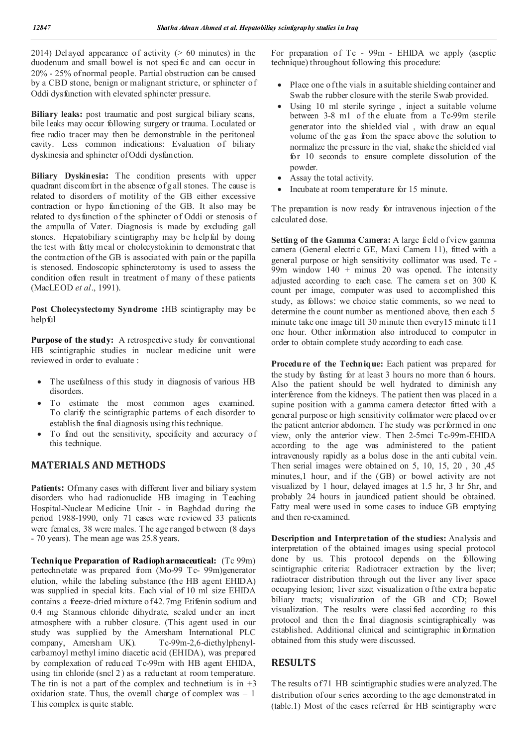2014) Delayed appearance of activity  $(> 60 \text{ minutes})$  in the duodenum and small bowel is not specific and can occur in 20% - 25% of normal people. Partial obstruction can be caused by a CBD stone, benign or malignant stricture, or sphincter of Oddi dysfunction with elevated sphincter pressure.

**Biliary leaks:** post traumatic and post surgical biliary scans, bile leaks may occur following surgery or trauma. Loculated or free radio tracer may then be demonstrable in the peritoneal cavity. Less common indications: Evaluation of biliary dyskinesia and sphincter of Oddi dysfunction.

**Biliary Dyskinesia:** The condition presents with upper quadrant discomfort in the absence of g all stones. The cause is related to disorders of motility of the GB either excessive contraction or hypo functioning of the GB. It also may be related to dysfunction of the sphincter of Oddi or stenosis of the ampulla of Vater. Diagnosis is made by excluding gall stones. Hepatobiliary scintigraphy may be helpful by doing the test with fatty meal or cholecystokinin to demonstrate that the contraction of the GB is associated with pain or the papilla is stenosed. Endoscopic sphincterotomy is used to assess the condition often result in treatment of many of these patients (MacLEOD *et al*., 1991).

**Post Cholecystectomy Syndrome :**HB scintigraphy may be helpful

Purpose of the study: A retrospective study for conventional HB scintigraphic studies in nuclear medicine unit were reviewed in order to evaluate :

- The usefulness of this study in diagnosis of various HB disorders.
- To estimate the most common ages examined. To clarify the scintigraphic patterns of each disorder to establish the final diagnosis using this technique.
- To find out the sensitivity, specificity and accuracy of this technique.

## **MATERIALS AND METHODS**

Patients: Ofmany cases with different liver and biliary system disorders who had radionuclide HB imaging in Teaching Hospital-Nuclear Medicine Unit - in Baghdad during the period 1988-1990, only 71 cases were reviewed 33 patients were females, 38 were males. The age ranged b etween (8 days - 70 years). The mean age was 25.8 years.

**Technique Preparation of Radiopharmaceutical:** (Tc 99m) pertechnetate was prepared from (Mo-99 Tc- 99m)generator elution, while the labeling substance (the HB agent EHIDA) was supplied in special kits. Each vial of 10 ml size EHIDA contains a freeze-dried mixture of 42.7mg Etifenin sodium and 0.4 mg Stannous chloride dihydrate, sealed under an inert atmosphere with a rubber closure. (This agent used in our study was supplied by the Amersham International PLC company, Amersham UK). Tc-99m-2,6-diethylphenylcarbamoyl methyl imino diacetic acid (EHIDA), was prepared by complexation of reduced Tc-99m with HB agent EHIDA, using tin chloride (sncl 2 ) as a reductant at room temperature. The tin is not a part of the complex and technetium is in  $+3$ oxidation state. Thus, the overall charge of complex was  $-1$ This complex is quite stable.

For preparation of Tc - 99m - EHIDA we apply (aseptic technique) throughout following this procedure:

- Place one of the vials in a suitable shielding container and Swab the rubber closure with the sterile Swab provided.
- Using 10 ml sterile syringe , inject a suitable volume between 3-8 m1 of the eluate from a Tc-99m sterile generator into the shielded vial , with draw an equal volume of the gas from the space above the solution to normalize the pressure in the vial, shake the shielded vial for 10 seconds to ensure complete dissolution of the powder.
- Assay the total activity.
- Incubate at room temperature for 15 minute.

The preparation is now ready for intravenous injection of the calculated dose.

**Setting of the Gamma Camera:** A large field of view gamma camera (General electric GE, Maxi Camera 11), fitted with a general purpose or high sensitivity collimator was used. Tc - 99m window 140 + minus 20 was opened. The intensity adjusted according to each case. The camera set on 300 K count per image, computer was used to accomplished this study, as follows: we choice static comments, so we need to determine the count number as mentioned above, then each 5 minute take one image till 30 minute then every15 minute ti11 one hour. Other information also introduced to computer in order to obtain complete study according to each case.

**Procedure of the Technique:** Each patient was prepared for the study by fasting for at least 3 hours no more than 6 hours. Also the patient should be well hydrated to diminish any interference from the kidneys. The patient then was placed in a supine position with a gamma camera detector fitted with a general purpose or high sensitivity collimator were placed over the patient anterior abdomen. The study was performed in one view, only the anterior view. Then 2-5mci Tc-99m-EHIDA according to the age was administered to the patient intravenously rapidly as a bolus dose in the anti cubital vein. Then serial images were obtained on 5, 10, 15, 20 , 30 ,45 minutes,1 hour, and if the (GB) or bowel activity are not visualized by 1 hour, delayed images at 1.5 hr, 3 hr 5hr, and probably 24 hours in jaundiced patient should be obtained. Fatty meal were used in some cases to induce GB emptying and then re-examined.

**Description and Interpretation of the studies:** Analysis and interpretation of the obtained images using special protocol done by us. This protocol depends on the following scintigraphic criteria: Radiotracer extraction by the liver; radiotracer distribution through out the liver any liver space occupying lesion; liver size; visualization of the extra hepatic biliary tracts; visualization of the GB and CD; Bowel visualization. The results were classi fied according to this protocol and then the final diagnosis scintigraphically was established. Additional clinical and scintigraphic information obtained from this study were discussed.

## **RESULTS**

The results of 71 HB scintigraphic studies were analyzed.The distribution of our series according to the age demonstrated in (table.1) Most of the cases referred for HB scintigraphy were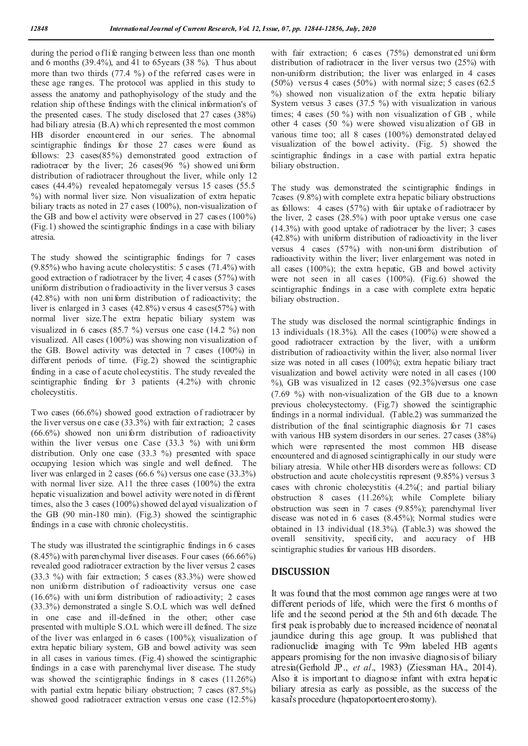during the period o flife ranging b etween less than one month and 6 months (39.4%), and 41 to 65years (38 %). T hus about more than two thirds (77.4 %) of the referred cases were in these age ranges. The protocol was applied in this study to assess the anatomy and pathophyisology of the study and the relation ship of these findings with the clinical information's of the presented cases. The study disclosed that 27 cases (38%) had biliary atresia (B.A) whi ch represented the most common HB disorder encountered in our series. The abnormal scintigraphic findings for those 27 cases were found as follows: 23 cases(85%) demonstrated good extraction of radiotracer by the liver; 26 cases(96 %) showed uniform distribution of radiotracer throughout the liver, while only 12 cases (44.4%) revealed hepatomegaly versus 15 cases (55.5 %) with normal liver size. Non visualization of extra hepatic biliary tracts as noted in 27 cases (100%), non-visualization of the GB and bow el activity were observed in 27 cases (100%) (Fig.1) showed the scintigraphic findings in a case with biliary atresia.

The study showed the scintigraphic findings for 7 cases (9.85%) who having acute cholecystitis: 5 cases (71.4%) with good extraction o f radiotracer by the liver; 4 cases (57%) with uniform distribution o fradioactivity in the liver versus 3 cases (42.8%) with non uniform distribution of radioactivity; the liver is enlarged in 3 cases (42.8%) v ersus 4 cases(57%) with normal liver size.The extra hepatic biliary system was visualized in 6 cases (85.7 %) versus one case (14.2 %) non visualized. All cases (100%) was showing non visualization of the GB. Bowel activity was detected in 7 cases (100%) in different periods of time. (Fig.2) showed the scintigraphic finding in a case of acute chol ecystitis. The study revealed the scintigraphic finding for 3 patients (4.2%) with chronic cholecystitis.

Two cases (66.6%) showed good extraction of radiotracer by the liver versus on e case (33.3%) with fair extraction; 2 cases (66.6%) showed non uniform distribution of radioactivity within the liver versus one Case  $(33.3 \%)$  with uniform distribution. Only one case (33.3 %) presented with space occupying 1esion which was single and well defined. The liver was enlarged in 2 cases (66.6 %) versus one case (33.3%) with normal liver size. A11 the three cases (100%) the extra hepatic visualization and bowel activity were noted in different times, also the 3 cases (100%) showed del ayed visualization of the GB (90 min-180 min). (Fig.3) showed the scintigraphic findings in a case with chronic cholecystitis.

The study was illustrated the scintigraphic findings in 6 cases (8.45%) with parenchymal liver diseases. Four cases (66.66%) revealed good radiotracer extraction by the liver versus 2 cases (33.3 %) with fair extraction; 5 cases (83.3%) were showed non uniform distribution of radioactivity versus one case  $(16.6\%)$  with uniform distribution of radioactivity; 2 cases (33.3%) demonstrated a single S.O.L which was well defined in one case and ill-defined in the other; other case presented with multiple S.O.L which were ill defined. The size of the liver was enlarged in 6 cases (100%); visualization of extra hepatic biliary system, GB and bowel activity was seen in all cases in various times. (Fig.4) showed the scintigraphic findings in a case with parenchymal liver disease. The study was showed the scintigraphic findings in 8 cases (11.26%) with partial extra hepatic biliary obstruction; 7 cases (87.5%) showed good radiotracer extraction versus one case (12.5%)

with fair extraction; 6 cases (75%) demonstrated uniform distribution of radiotracer in the liver versus two (25%) with non-uniform distribution; the liver was enlarged in 4 cases  $(50\%)$  versus 4 cases  $(50\%)$  with normal size; 5 cases  $(62.5\%)$ %) showed non visualization of the extra hepatic biliary System versus 3 cases (37.5 %) with visualization in various times; 4 cases (50 %) with non visualization of GB , while other 4 cases (50 %) were showed visu alization of GB in various time too; all 8 cases (100%) demonstrated delayed visualization of the bowel activity. (Fig. 5) showed the scintigraphic findings in a case with partial extra hepatic biliary obstruction.

The study was demonstrated the scintigraphic findings in 7cases (9.8%) with complete extra hepatic biliary obstructions as follows: 4 cases (57%) with fair uptake of radiotracer by the liver, 2 cases (28.5%) with poor uptake versus one case (14.3%) with good uptake of radiotracer by the liver; 3 cases (42.8%) with uniform distribution of radioactivity in the liver versus 4 cases (57%) with non-uniform distribution of radioactivity within the liver; liver enlargement was noted in all cases (100%); the extra hepatic, GB and bowel activity were not seen in all cases (100%). (Fig.6) showed the scintigraphic findings in a case with complete extra hepatic biliary obstruction.

The study was disclosed the normal scintigraphic findings in 13 individuals (18.3%). All the cases (100%) were showed a good radiotracer extraction by the liver, with a uniform distribution of radioactivity within the liver; also normal liver size was noted in all cases (100%); extra hepatic biliary tract visualization and bowel activity were noted in all cases (100 %), GB was visualized in 12 cases (92.3%)versus one case (7.69 %) with non-visualization of the GB due to a known previous cholecystectomy. (Fig.7) showed the scintigraphic findings in a normal individual. (Table.2) was summarized the distribution of the final scintigraphic diagnosis for 71 cases with various HB system disorders in our series. 27 cases (38%) which were represented the most common HB disease encountered and di agnosed scintigraphically in our study were biliary atresia. While other HB disorders were as follows: CD obstruction and acute cholecystitis represent (9.85%) versus 3 cases with chronic cholecystitis (4.2%(; and partial biliary obstruction 8 cases (11.26%); while Complete biliary obstruction was seen in 7 cases (9.85%); parenchymal liver disease was noted in 6 cases (8.45%); Normal studies were obtained in 13 individual (18.3%). (Table.3) was showed the overall sensitivity, specificity, and accuracy of HB scintigraphic studies for various HB disorders.

#### **DISCUSSION**

It was found that the most common age ranges were at two different periods of life, which were the first 6 months of life and the second period at the 5th and 6th decade. The first peak is probably due to increased incidence of neonatal jaundice during this age group. It was published that radionuclide imaging with Tc 99m labeled HB agents appears promising for the non invasive diagnosis of biliary atresia(Gerhold JP., *et al*., 1983) (Ziessman HA., 2014). Also it is important to diagnose infant with extra hepatic biliary atresia as early as possible, as the success of the kasai's procedure (hepatoportoenterostomy).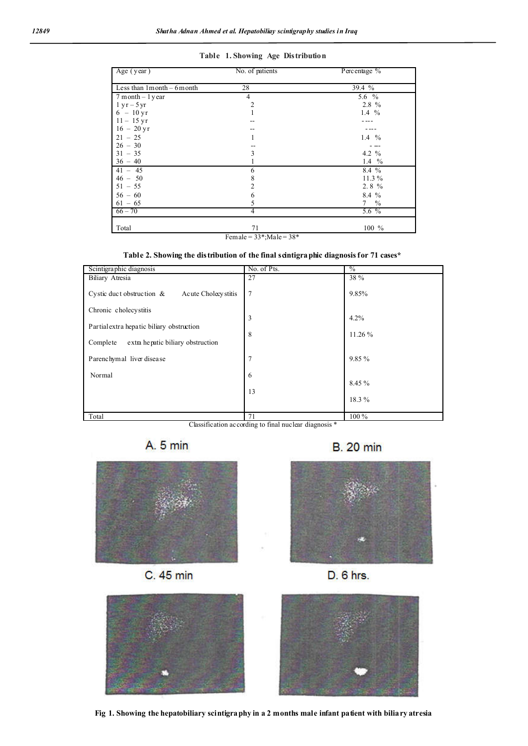| Table 1. Showing Age Distribution |  |  |  |  |
|-----------------------------------|--|--|--|--|
|-----------------------------------|--|--|--|--|

| Age (year)                      | No. of patients | Percentage %    |  |
|---------------------------------|-----------------|-----------------|--|
|                                 |                 |                 |  |
| Less than $1$ month $-$ 6 month | 28              | 39.4 %          |  |
| $7$ month $-1$ year             | 4               | 5.6 $%$         |  |
| $1 yr - 5 yr$                   | $\overline{2}$  | $2.8\%$         |  |
| $6 - 10 \,\text{yr}$            |                 | 1.4 $%$         |  |
| $11 - 15$ yr                    |                 |                 |  |
| $16 - 20$ yr                    |                 |                 |  |
| $21 - 25$                       | 1               | 1.4 $%$         |  |
| $26 - 30$                       |                 |                 |  |
| $31 - 35$                       | 3               | 4.2 $%$         |  |
| $36 - 40$                       |                 | 1.4 $%$         |  |
| $41 - 45$                       | 6               | 8.4 %           |  |
| $46 - 50$                       | 8               | 11.3 %          |  |
| $51 - 55$                       | 2               | 2.8%            |  |
| $56 - 60$                       | 6               | 8.4 %           |  |
| $61 - 65$                       | 5               | $7 \frac{9}{6}$ |  |
| $66 - 70$                       | 4               | $5.6\%$         |  |
| Total                           | 71              | $100 \%$        |  |
|                                 |                 |                 |  |

Female =  $33$ \*;Male =  $38$ \*

| Table 2. Showing the distribution of the final scintigraphic diagnosis for 71 cases* |  |  |  |
|--------------------------------------------------------------------------------------|--|--|--|
|                                                                                      |  |  |  |

| Scintigraphic diagnosis                              | No. of Pts.    | $\%$    |
|------------------------------------------------------|----------------|---------|
| <b>Biliary Atresia</b>                               | 27             | 38 %    |
| Cystic duct obstruction $\&$<br>Acute Cholecy stitis | $\overline{7}$ | 9.85%   |
| Chronic cholecystitis                                |                |         |
|                                                      | 3              | 4.2%    |
| Partial extra hepatic biliary obstruction            |                |         |
| Complete<br>extra hepatic biliary obstruction        | 8              | 11.26 % |
| Parenchymal liver disease                            | $\overline{7}$ | 9.85 %  |
| Normal                                               | 6              |         |
|                                                      |                | 8.45 %  |
|                                                      | 13             |         |
|                                                      |                | 18.3%   |
|                                                      |                |         |
| Total                                                | 71             | 100 %   |

Classification according to final nuclear diagnosis \*









**B.** 20 min





**Fig 1. Showing the hepatobiliary scintigraphy in a 2 months male infant patient with biliary atresia**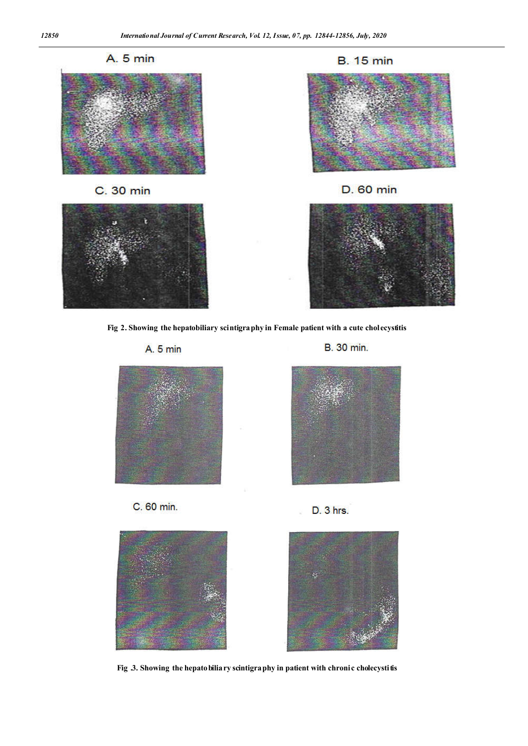

**Fig 2. Showing the hepatobiliary scintigraphy in Female patient with a cute cholecystitis**

A. 5 min

**B.** 30 min.









D. 3 hrs.



Fig .3. Showing the hepatobiliary scintigraphy in patient with chronic cholecystitis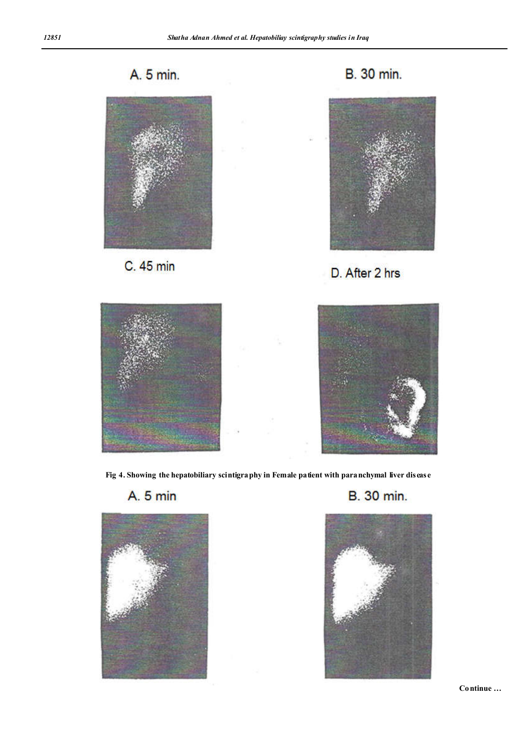A. 5 min.



C. 45 min





D. After 2 hrs





**Fig 4. Showing the hepatobiliary scintigraphy in Female patient with paranchymal liver disease**

A. 5 min







**Continue …**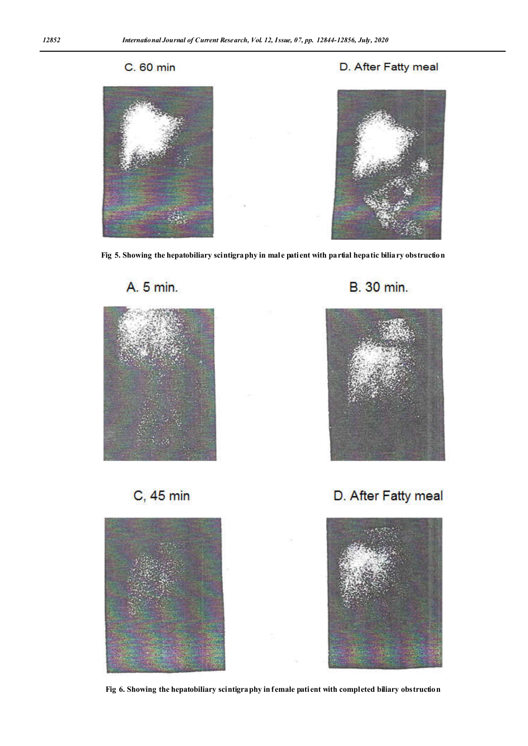# C. 60 min



# D. After Fatty meal



**Fig 5. Showing the hepatobiliary scintigraphy in male patient with partial hepatic biliary obstruction**







C, 45 min



D. After Fatty meal



**Fig 6. Showing the hepatobiliary scintigraphy in female patient with completed biliary obstruction**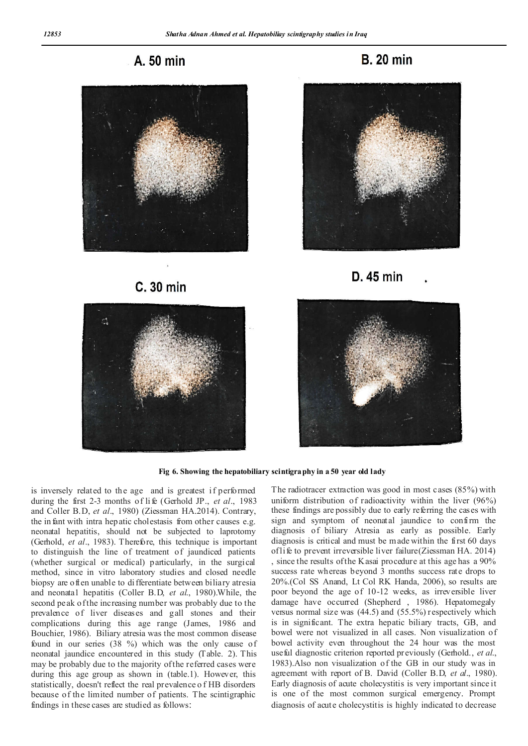A. 50 min



C. 30 min











**Fig 6. Showing the hepatobiliary scintigraphy in a 50 year old lady**

is inversely related to the age and is greatest if performed during the first 2-3 months of li fe (Gerhold JP., *et al*., 1983 and Coller B.D, *et al*., 1980) (Ziessman HA.2014). Contrary, the in fant with intra hepatic cholestasis from other causes e.g. neonatal hepatitis, should not be subjected to laprotomy (Gerhold, *et al*., 1983). Therefore, this technique is important to distinguish the line of treatment of jaundiced patients (whether surgical or medical) particularly, in the surgical method, since in vitro laboratory studies and closed needle biopsy are often unable to differentiate between biliary atresia and neonata1 hepatitis (Coller B.D, *et al*., 1980).While, the second peak of the increasing number was probably due to the prevalence of liver diseases and gall stones and their complications during this age range (James, 1986 and Bouchier, 1986). Biliary atresia was the most common disease found in our series (38 %) which was the only cause of neonatal jaundice encountered in this study (Table. 2). This may be probably due to the majority of the referred cases were during this age group as shown in (table.1). However, this statistically, doesn't reflect the real prevalence o f HB disorders because of the limited number of patients. The scintigraphic findings in these cases are studied as follows:

The radiotracer extraction was good in most cases (85%) with uniform distribution of radioactivity within the liver (96%) these findings are possibly due to early referring the cases with sign and symptom of neonatal jaundice to confirm the diagnosis of biliary Atresia as early as possible. Early diagnosis is critical and must be made within the first 60 days of life to prevent irreversible liver failure(Ziessman HA. 2014) , since the results of the Kasai procedure at this age has a 90% success rate whereas beyond 3 months success rate drops to 20%.(Col SS Anand, Lt Col RK Handa, 2006), so results are poor beyond the age of 10-12 weeks, as irreversible liver damage have occurred (Shepherd , 1986). Hepatomegaly versus normal size was (44.5) and (55.5%) respectively which is in significant. The extra hepatic biliary tracts, GB, and bowel were not visualized in all cases. Non visualization of bowel activity even throughout the 24 hour was the most useful diagnostic criterion reported previously (Gerhold., *et al*., 1983).Also non visualization of the GB in our study was in agreement with report of B. David (Coller B.D, *et al*., 1980). Early diagnosis of acute cholecystitis is very important since it is one of the most common surgical emergency. Prompt diagnosis of acute cholecystitis is highly indicated to decrease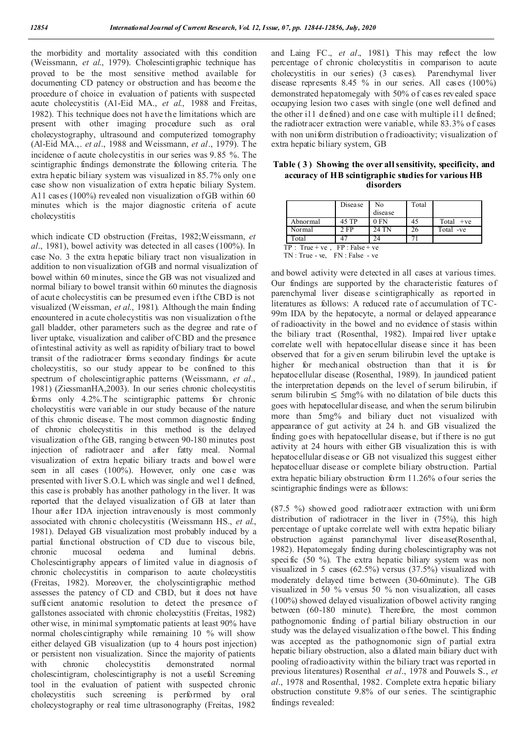the morbidity and mortality associated with this condition (Weissmann, *et al*., 1979). Cholescintigraphic technique has proved to be the most sensitive method available for documenting CD patency or obstruction and has become the procedure of choice in evaluation of patients with suspected acute cholecystitis (A1-Eid MA., *et al*., 1988 and Freitas, 1982). This technique does not h ave the limitations which are present with other imaging procedure such as oral cholecystography, ultrasound and computerized tomography (Al-Eid MA.,. *et al*., 1988 and Weissmann, *et al*., 1979). T he incidence o f acute cholecystitis in our series was 9.85 %. The scintigraphic findings demonstrate the following criteria. The extra hepatic biliary system was visualized in 85.7% only one case show non visualization of extra hepatic biliary System. A11 cases (100%) revealed non visualization of GB within 60 minutes which is the major diagnostic criteria of acute cholecystitis

which indicate CD obstruction (Freitas, 1982;Weissmann, *et al*., 1981), bowel activity was detected in all cases (100%). In case No. 3 the extra hepatic biliary tract non visualization in addition to non visualization of GB and normal visualization of bowel within 60 minutes, since the GB was not visualized and normal biliary to bowel transit within 60 minutes the diagnosis of acute cholecystitis can be presumed even if the CBD is not visualized (Weissman, *et al*., 1981). Although the main finding encountered in acute cholecystitis was non visualization of the gall bladder, other parameters such as the degree and rate of liver uptake, visualization and caliber of CBD and the presence of intestinal activity as well as rapidity of biliary tract to bowel transit of the radiotracer forms secondary findings for acute cholecystitis, so our study appear to be confined to this spectrum of cholescintigraphic patterns (Weissmann, *et al*., 1981) (ZiessmanHA,2003). In our series chronic cholecystitis forms only 4.2%.The scintigraphic patterns for chronic cholecystitis were variable in our study because of the nature of this chronic disease. The most common diagnostic finding of chronic cholecystitis in this method is the delayed visualization of the GB, ranging b etween 90-180 minutes post injection of radiotracer and after fatty meal. Normal visualization of extra hepatic biliary tracts and bowel were seen in all cases (100%). However, only one case was presented with liver S.O.L which was single and we11 defined, this case is probably has another pathology in the liver. It was reported that the delayed visualization of GB at later than 1hour after IDA injection intravenously is most commonly associated with chronic cholecystitis (Weissmann HS., *et al*., 1981). Delayed GB visualization most probably induced by a partial functional obstruction of CD due to viscous bile, chronic mucosal oedema and luminal debris. Cholescintigraphy appears of limited value in diagnosis of chronic cholecystitis in comparison to acute cholecystitis (Freitas, 1982). Moreover, the cholyscintigraphic method assesses the patency of CD and CBD, but it does not have sufficient anatomic resolution to detect the presence of gallstones associated with chronic cholecystitis (Freitas, 1982) other wise, in minimal symptomatic patients at least 90% have normal cholescintigraphy while remaining 10 % will show either delayed GB visualization (up to 4 hours post injection) or persistent non visualization. Since the majority of patients with chronic cholecystitis demonstrated normal cholescintigram, cholescintigraphy is not a useful Screening tool in the evaluation of patient with suspected chronic cholecystitis such screening is performed by oral cholecystography or real time ultrasonography (Freitas, 1982

and Laing FC., *et al*., 1981). This may reflect the low percentage of chronic cholecystitis in comparison to acute cholecystitis in our series) (3 cases). Parenchymal liver disease represents 8.45 % in our series. All cases (100%) demonstrated hepatomegaly with 50% of cases revealed space occupying lesion two cases with single (one well defined and the other i11 defined) and one case with multiple i11 defined; the radiotracer extraction were variable, while 83.3% of cases with non uniform distribution o fradioactivity; visualization of extra hepatic biliary system, GB

**Table ( 3 ) Showing the over all sensitivity, specificity, and accuracy of HB scintigraphic studies for various HB disorders**

|                                    | Disea se | No<br>disease | Total |             |
|------------------------------------|----------|---------------|-------|-------------|
| Abnormal                           | 45 TP    | $0$ FN        | 45    | Total $+ve$ |
| Normal                             | $2$ FP   | 24 TN         | 26    | Total -ve   |
| Total                              |          |               |       |             |
| $TP: True + ve$ , $FP: False + ve$ |          |               |       |             |

TN : True - ve, FN : False - ve

and bowel activity were detected in all cases at various times. Our findings are supported by the characteristic features of parenchymal liver disease scintigraphically as reported in literatures as follows: A reduced rate of accumulation of TC-99m IDA by the hepatocyte, a normal or delayed appearance of radioactivity in the bowel and no evidence of stasis within the biliary tract (Rosenthal, 1982). Impaired liver uptake correlate well with hepatocellular disease since it has been observed that for a given serum bilirubin level the uptake is higher for mechanical obstruction than that it is for hepatocellular disease (Rosenthal, 1989). In jaundiced patient the interpretation depends on the level of serum bilirubin, if serum bilirubin  $\leq 5mg\%$  with no dilatation of bile ducts this goes with hepatocellular disease, and when the serum bilirubin more than 5mg% and biliary duct not visualized with appearance of gut activity at 24 h. and GB visualized the finding goes with hepatocellular disease, but if there is no gut activity at 24 hours with either GB visualization this is with hepatocellular disease or GB not visualized this suggest either hepatocelluar disease or complete biliary obstruction. Partial extra hepatic biliary obstruction form 11.26% of our series the scintigraphic findings were as follows:

(87.5 %) showed good radiotracer extraction with uniform distribution of radiotracer in the liver in (75%), this high percentage of uptake correlate well with extra hepatic biliary obstruction against paranchymal liver disease(Rosenthal, 1982). Hepatomegaly finding during cholescintigraphy was not specific (50 %). The extra hepatic biliary system was non visualized in 5 cases (62.5%) versus (37.5%) visualized with moderately delayed time between (30-60minute). The GB visualized in 50 % versus 50 % non visu alization, all cases (100%) showed delayed visualization of bowel activity ranging between (60-180 minute). Therefore, the most common pathognomonic finding of partial biliary obstruction in our study was the delayed visualization of the bowel. This finding was accepted as the pathognomonic sign of partial extra hepatic biliary obstruction, also a dilated main biliary duct with pooling of radioactivity within the biliary tract was reported in previous literatures) Rosenthal *et al*., 1978 and Pouwels S., *et al*., 1978 and Rosenthal, 1982. Complete extra hepatic biliary obstruction constitute 9.8% of our series. The scintigraphic findings revealed: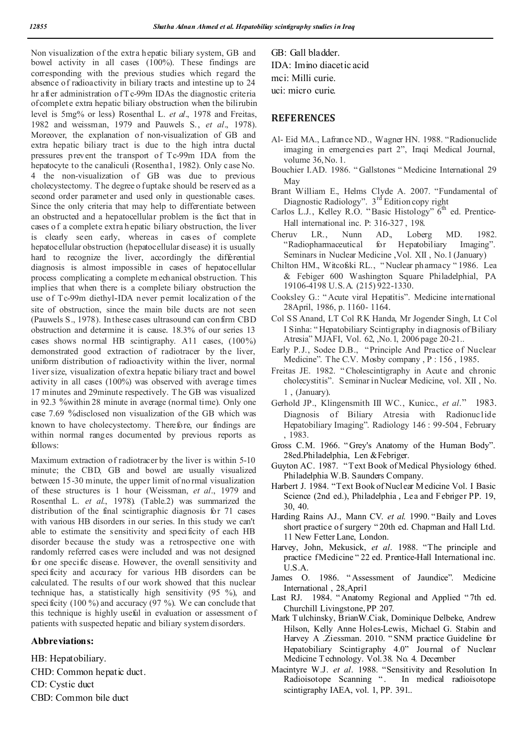Non visualization of the extra hepatic biliary system, GB and bowel activity in all cases (100%). These findings are corresponding with the previous studies which regard the absence of radioactivity in biliary tracts and intestine up to 24 hr after administration of T c-99m IDAs the diagnostic criteria of complet e extra hepatic biliary obstruction when the bilirubin level is 5mg% or less) Rosenthal L. *et al*., 1978 and Freitas, 1982 and weissman, 1979 and Pauwels S., *et al*., 1978). Moreover, the explanation of non-visualization of GB and extra hepatic biliary tract is due to the high intra ductal pressures prevent the transport of Tc-99m IDA from the hepatocyte to the canaliculi (Rosentha1, 1982). Only case No. 4 the non-visualization of GB was due to previous cholecystectomy. The degree o fuptake should be reserved as a second order parameter and used only in questionable cases. Since the only criteria that may help to differentiate between an obstructed and a hepatocellular problem is the fact that in cases o f a complete extra h epatic biliary obstruction, the liver is clearly seen early, whereas in cases of complete hepatocellular obstruction (hepatocellular disease) it is usually hard to recognize the liver, accordingly the differential diagnosis is almost impossible in cases of hepatocellular process complicating a complete m echanical obstruction. This implies that when there is a complete biliary obstruction the use of Tc-99m diethyl-IDA never permit localization of the site of obstruction, since the main bile ducts are not seen (Pauwels S., 1978). In these cases ultrasound can confirm CBD obstruction and determine it is cause. 18.3% of our series 13 cases shows normal HB scintigraphy. A11 cases, (100%) demonstrated good extraction of radiotracer by the liver, uniform distribution of radioactivity within the liver, normal 1iver size, visualization of extra hepatic biliary tract and bowel activity in all cases (100%) was observed with average times 17 minutes and 29minute respectively. T he GB was visualized in 92.3 %within 28 minute in average (normal time). Only one case 7.69 %disclosed non visualization of the GB which was known to have cholecystectomy. Therefore, our findings are within normal ranges documented by previous reports as follows:

Maximum extraction of radiotracer by the liver is within 5-10 minute; the CBD, GB and bowel are usually visualized between 15-30 minute, the upper limit of no rmal visualization of these structures is 1 hour (Weissman, *et al*., 1979 and Rosenthal L. *et al*., 1978). (Table.2) was summarized the distribution of the final scintigraphic diagnosis for 71 cases with various HB disorders in our series. In this study we can't able to estimate the sensitivity and specificity of each HB disorder because the study was a retrospective one with randomly referred cases were included and was not designed for one specific disease. However, the overall sensitivity and specificity and accuracy for various HB disorders can be calculated. The results of our work showed that this nuclear technique has, a statistically high sensitivity (95 %), and specificity (100 %) and accuracy (97 %). We can conclude that this technique is highly useful in evaluation or assessment of patients with suspected hepatic and biliary system disorders.

#### **Abbreviations:**

HB: Hepatobiliary. CHD: Common hepatic duct. CD: Cystic duct CBD: Common bile duct

GB: Gall bladder. IDA: Imino diacetic acid mci: Milli curie. uci: micro curie.

### **REFERENCES**

- Al- Eid MA., Lafrance ND., Wagner HN. 1988. "Radionuclide imaging in emergencies part 2", Iraqi Medical Journal, volume 36,No. 1.
- Bouchier I.AD. 1986. " Gallstones " Medicine International 29 May
- Brant William E., Helms Clyde A. 2007. "Fundamental of Diagnostic Radiology".  $3<sup>rd</sup>$  Edition copy right
- Carlos L.J., Kelley R.O. "Basic Histology"  $6<sup>th</sup>$  ed. Prentice-Hall international inc. P: 316-327 , 198.
- Cheruv LR., Nunn AD., Loberg MD. 1982. "Radiopharmaceutical for Hepatobiliary Imaging". Seminars in Nuclear Medicine ,Vol. XII , No.1 (January)
- Chilton HM., Witcofski RL., " Nuclear pharmacy " 1986. Lea & Febiger 600 Washington Square Philadelphial, PA 19106-4198 U.S.A. (215) 922-1330.
- Cooksley G.: " Acute viral Hepatitis". Medicine international 28April, 1986, p. 1160- 1164.
- Col SS Anand, LT Col RK Handa, Mr Jogender Singh, Lt Col I Sinha: " Hepatobiliary Scintigraphy in diagnosis of Biliary Atresia" MJAFI, Vol. 62, ,No.1, 2006 page 20-21..
- Early P.J., Sodee D.B., "Principle And Practice of Nuclear Medicine". The C.V. Mosby company, P: 156, 1985.
- Freitas JE. 1982. " Cholescintigraphy in Acute and chronic cholecystitis". Seminar in Nuclear Medicine, vol. XII , No. 1 , (January).
- Gerhold JP., Klingensmith III WC., Kunicc., *et al*." 1983. Diagnosis of Biliary Atresia with Radionuclide Hepatobiliary Imaging". Radiology 146 : 99-504 , February , 1983.
- Gross C.M. 1966. " Grey's Anatomy of the Human Body". 28ed.Philadelphia, Len &Febriger.
- Guyton AC. 1987. "Text Book of Medical Physiology 6thed. Philadelphia W.B. Saunders Company.
- Harbert J. 1984. "Text Book of Nuclear M edicine Vol. I Basic Science (2nd ed.), Philadelphia , Lea and Febriger PP. 19, 30, 40.
- Harding Rains AJ., Mann CV. *et al*. 1990. "Baily and Loves short practice of surgery " 20th ed. Chapman and Hall Ltd. 11 New Fetter Lane, London.
- Harvey, John, Mekusick, *et al*. 1988. "The principle and practice f Medicine " 22 ed. Prentice-Hall International inc. U.S.A.
- James O. 1986. " Assessment of Jaundice". Medicine International , 28,Apri1
- Last RJ. 1984. " Anatomy Regional and Applied " 7th ed. Churchill Livingstone, PP 207.
- Mark T ulchinsky, BrianW.Ciak, Dominique Delbeke, Andrew Hilson, Kelly Anne Holes-Lewis, Michael G. Stabin and Harvey A .Ziessman. 2010. " SNM practice Guideline for Hepatobiliary Scintigraphy 4.0" Journal of Nuclear Medicine Technology. Vol.38. No. 4. December
- Macintyre W.J. *et al*. 1988. "Sensitivity and Resolution In Radioisotope Scanning ". In medical radioisotope scintigraphy IAEA, vol. 1, PP. 391..